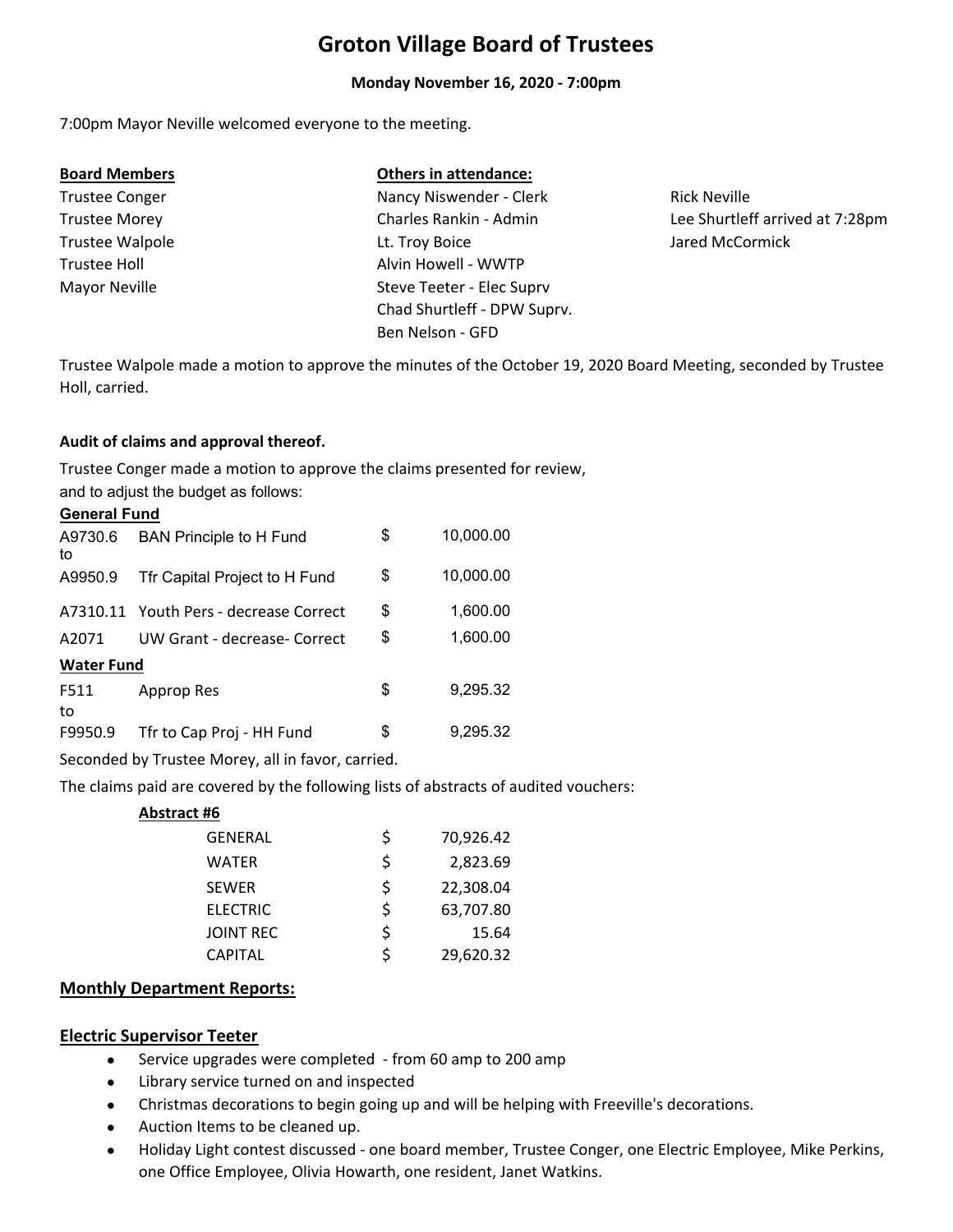# **Groton Village Board of Trustees**

#### **Monday November 16, 2020 ‐ 7:00pm**

7:00pm Mayor Neville welcomed everyone to the meeting.

Trustee Walpole **Leapelle** Lt. Troy Boice

#### **Board Members Others in attendance:**

Trustee Conger Nancy Niswender - Clerk Trustee Morey Charles Rankin ‐ Admin Chad Shurtleff ‐ DPW Suprv. Ben Nelson ‐ GFD Trustee Holl **Alvin Howell - WWTP** Mayor Neville Steve Teeter - Elec Supry

Rick Neville Lee Shurtleff arrived at 7:28pm Jared McCormick

Trustee Walpole made a motion to approve the minutes of the October 19, 2020 Board Meeting, seconded by Trustee Holl, carried.

#### **Audit of claims and approval thereof.**

and to adjust the budget as follows: Trustee Conger made a motion to approve the claims presented for review,

#### **General Fund**

| A9730.6<br>to     | <b>BAN Principle to H Fund</b>         | \$ | 10,000.00 |  |  |
|-------------------|----------------------------------------|----|-----------|--|--|
| A9950.9           | Tfr Capital Project to H Fund          | \$ | 10,000.00 |  |  |
|                   | A7310.11 Youth Pers - decrease Correct | \$ | 1,600.00  |  |  |
| A2071             | UW Grant - decrease- Correct           | \$ | 1,600.00  |  |  |
| <b>Water Fund</b> |                                        |    |           |  |  |
| F511<br>to        | Approp Res                             | \$ | 9,295.32  |  |  |
| F9950.9           | Tfr to Cap Proj - HH Fund              | \$ | 9,295.32  |  |  |

Seconded by Trustee Morey, all in favor, carried.

The claims paid are covered by the following lists of abstracts of audited vouchers:

#### **Abstract #6**

| <b>GENERAL</b>   | Ś  | 70,926.42 |
|------------------|----|-----------|
| WATER            | Ś  | 2,823.69  |
| <b>SEWER</b>     | Ś  | 22,308.04 |
| <b>ELECTRIC</b>  | Ś  | 63,707.80 |
| <b>JOINT REC</b> | \$ | 15.64     |
| <b>CAPITAL</b>   | ς  | 29,620.32 |

#### **Monthly Department Reports:**

#### **Electric Supervisor Teeter**

- $\bullet$ Service upgrades were completed ‐ from 60 amp to 200 amp
- $\bullet$ Library service turned on and inspected
- Christmas decorations to begin going up and will be helping with Freeville's decorations.
- $\bullet$ Auction Items to be cleaned up.
- $\bullet$ Holiday Light contest discussed ‐ one board member, Trustee Conger, one Electric Employee, Mike Perkins, one Office Employee, Olivia Howarth, one resident, Janet Watkins.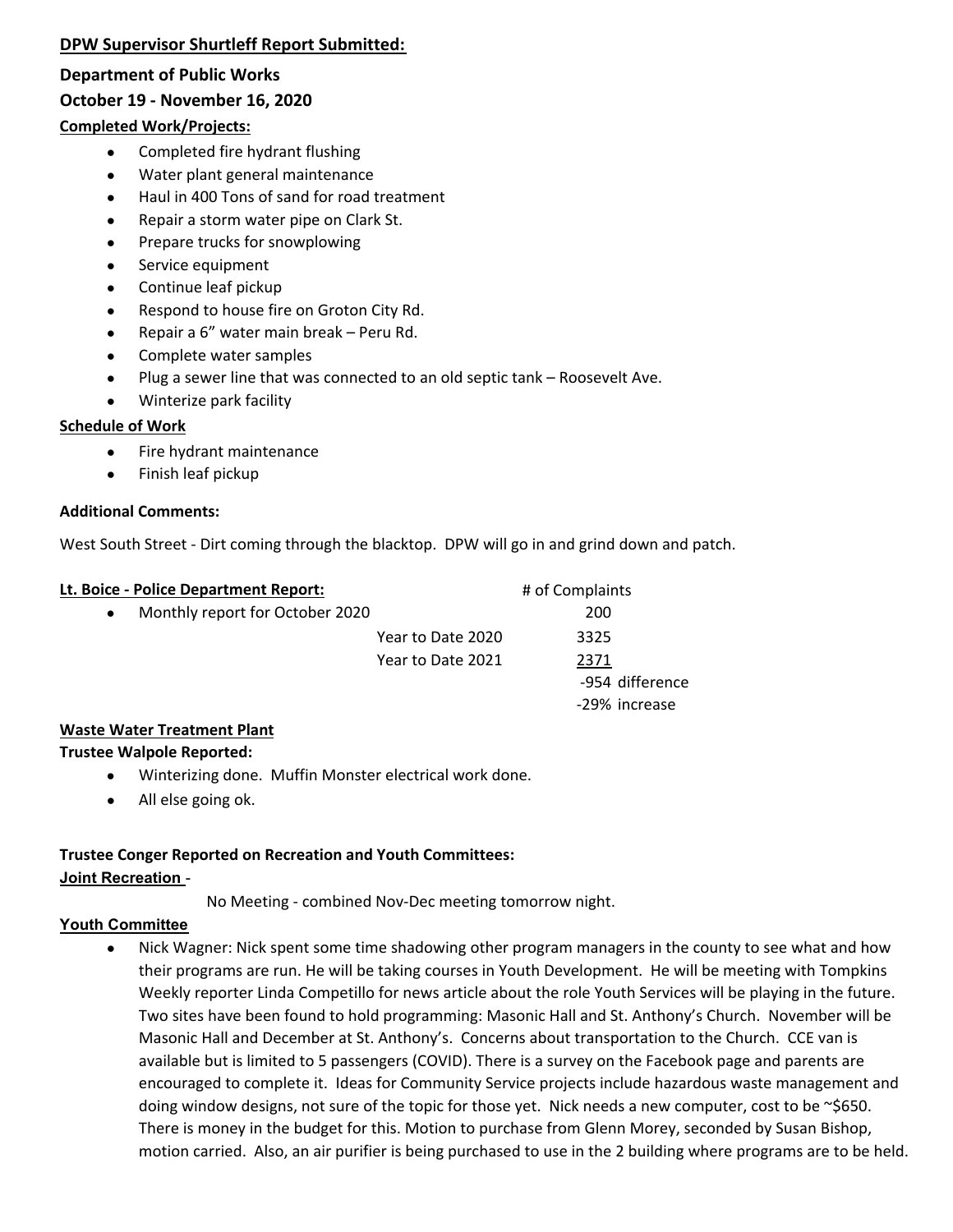## **DPW Supervisor Shurtleff Report Submitted:**

#### **Department of Public Works**

### **October 19 ‐ November 16, 2020**

#### **Completed Work/Projects:**

- $\bullet$ Completed fire hydrant flushing
- $\bullet$ Water plant general maintenance
- $\bullet$ Haul in 400 Tons of sand for road treatment
- $\bullet$ Repair a storm water pipe on Clark St.
- $\bullet$ Prepare trucks for snowplowing
- $\bullet$ Service equipment
- $\bullet$ Continue leaf pickup
- $\bullet$ Respond to house fire on Groton City Rd.
- $\bullet$ Repair a 6" water main break – Peru Rd.
- $\bullet$ Complete water samples
- $\bullet$ Plug a sewer line that was connected to an old septic tank – Roosevelt Ave.
- $\bullet$ Winterize park facility

#### **Schedule of Work**

- $\bullet$ Fire hydrant maintenance
- $\bullet$ Finish leaf pickup

#### **Additional Comments:**

West South Street - Dirt coming through the blacktop. DPW will go in and grind down and patch.

| Lt. Boice - Police Department Report: |                   | # of Complaints |  |  |
|---------------------------------------|-------------------|-----------------|--|--|
| Monthly report for October 2020       |                   | 200             |  |  |
|                                       | Year to Date 2020 | 3325            |  |  |
|                                       | Year to Date 2021 | 2371            |  |  |
|                                       |                   | -954 difference |  |  |
|                                       |                   | -29% increase   |  |  |

#### **Waste Water Treatment Plant**

#### **Trustee Walpole Reported:**

- $\bullet$ Winterizing done. Muffin Monster electrical work done.
- $\bullet$ All else going ok.

#### **Trustee Conger Reported on Recreation and Youth Committees: Joint Recreation** -

No Meeting ‐ combined Nov‐Dec meeting tomorrow night.

#### **Youth Committee**

 $\bullet$ Nick Wagner: Nick spent some time shadowing other program managers in the county to see what and how their programs are run. He will be taking courses in Youth Development. He will be meeting with Tompkins Weekly reporter Linda Competillo for news article about the role Youth Services will be playing in the future. Two sites have been found to hold programming: Masonic Hall and St. Anthony's Church. November will be Masonic Hall and December at St. Anthony's. Concerns about transportation to the Church. CCE van is available but is limited to 5 passengers (COVID). There is a survey on the Facebook page and parents are encouraged to complete it. Ideas for Community Service projects include hazardous waste management and doing window designs, not sure of the topic for those yet. Nick needs a new computer, cost to be ~\$650. There is money in the budget for this. Motion to purchase from Glenn Morey, seconded by Susan Bishop, motion carried. Also, an air purifier is being purchased to use in the 2 building where programs are to be held.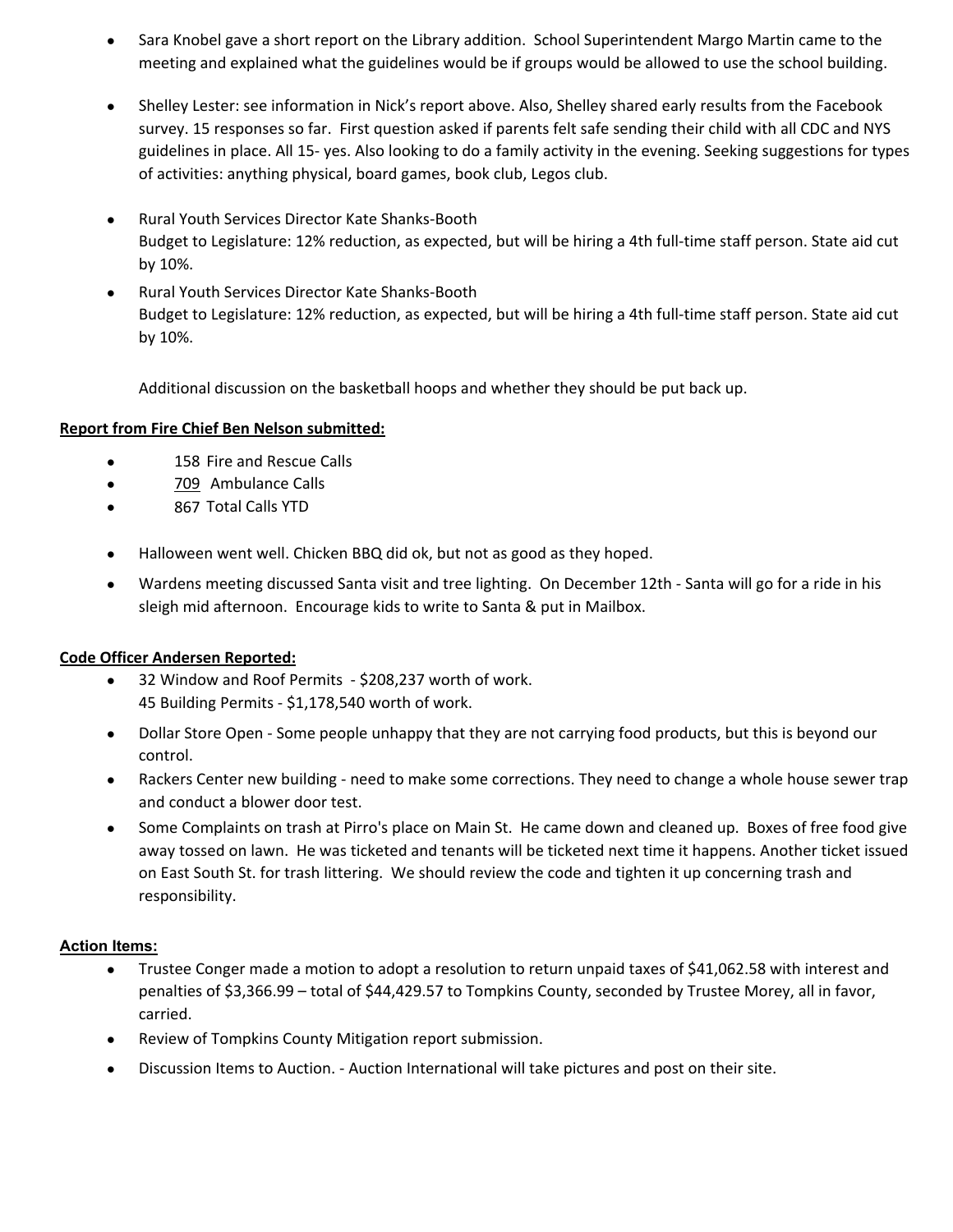- $\bullet$ Sara Knobel gave a short report on the Library addition. School Superintendent Margo Martin came to the meeting and explained what the guidelines would be if groups would be allowed to use the school building.
- $\bullet$ Shelley Lester: see information in Nick's report above. Also, Shelley shared early results from the Facebook survey. 15 responses so far. First question asked if parents felt safe sending their child with all CDC and NYS guidelines in place. All 15‐ yes. Also looking to do a family activity in the evening. Seeking suggestions for types of activities: anything physical, board games, book club, Legos club.
- $\bullet$ Rural Youth Services Director Kate Shanks‐Booth Budget to Legislature: 12% reduction, as expected, but will be hiring a 4th full‐time staff person. State aid cut by 10%.
- $\bullet$ Rural Youth Services Director Kate Shanks‐Booth Budget to Legislature: 12% reduction, as expected, but will be hiring a 4th full‐time staff person. State aid cut by 10%.

Additional discussion on the basketball hoops and whether they should be put back up.

#### **Report from Fire Chief Ben Nelson submitted:**

- 158 Fire and Rescue Calls
- 709 Ambulance Calls
- 867 Total Calls YTD
- $\bullet$ Halloween went well. Chicken BBQ did ok, but not as good as they hoped.
- $\bullet$ Wardens meeting discussed Santa visit and tree lighting. On December 12th - Santa will go for a ride in his sleigh mid afternoon. Encourage kids to write to Santa & put in Mailbox.

#### **Code Officer Andersen Reported:**

- $\bullet$ 32 Window and Roof Permits ‐ \$208,237 worth of work. 45 Building Permits ‐ \$1,178,540 worth of work.
- $\bullet$ Dollar Store Open ‐ Some people unhappy that they are not carrying food products, but this is beyond our control.
- $\bullet$ Rackers Center new building ‐ need to make some corrections. They need to change a whole house sewer trap and conduct a blower door test.
- $\bullet$ Some Complaints on trash at Pirro's place on Main St. He came down and cleaned up. Boxes of free food give away tossed on lawn. He was ticketed and tenants will be ticketed next time it happens. Another ticket issued on East South St. for trash littering. We should review the code and tighten it up concerning trash and responsibility.

#### **Action Items:**

- $\bullet$ Trustee Conger made a motion to adopt a resolution to return unpaid taxes of \$41,062.58 with interest and penalties of \$3,366.99 – total of \$44,429.57 to Tompkins County, seconded by Trustee Morey, all in favor, carried.
- $\bullet$ Review of Tompkins County Mitigation report submission.
- $\bullet$ Discussion Items to Auction. ‐ Auction International will take pictures and post on their site.